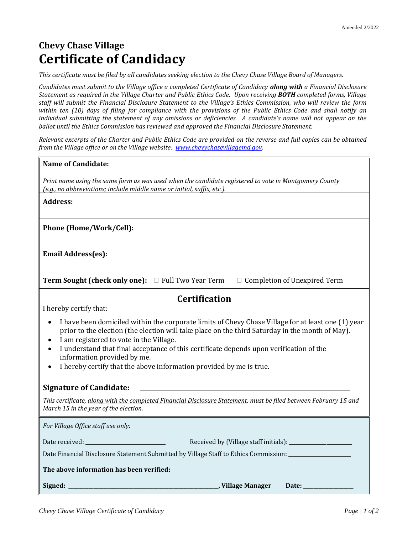# **Chevy Chase Village Certificate of Candidacy**

*This certificate must be filed by all candidates seeking election to the Chevy Chase Village Board of Managers.*

*Candidates must submit to the Village office a completed Certificate of Candidacy along with a Financial Disclosure Statement as required in the Village Charter and Public Ethics Code. Upon receiving BOTH completed forms, Village staff will submit the Financial Disclosure Statement to the Village's Ethics Commission, who will review the form within ten (10) days of filing for compliance with the provisions of the Public Ethics Code and shall notify an individual submitting the statement of any omissions or deficiencies. A candidate's name will not appear on the ballot until the Ethics Commission has reviewed and approved the Financial Disclosure Statement.* 

*Relevant excerpts of the Charter and Public Ethics Code are provided on the reverse and full copies can be obtained from the Village office or on the Village website: [www.chevychasevillagemd.gov.](http://www.chevychasevillagemd.gov/)*

| <b>Name of Candidate:</b>                                                                                                                                                                                                                                                                                                                                                                                                                                      |
|----------------------------------------------------------------------------------------------------------------------------------------------------------------------------------------------------------------------------------------------------------------------------------------------------------------------------------------------------------------------------------------------------------------------------------------------------------------|
| Print name using the same form as was used when the candidate registered to vote in Montgomery County<br>(e.g., no abbreviations; include middle name or initial, suffix, etc.).                                                                                                                                                                                                                                                                               |
| <b>Address:</b>                                                                                                                                                                                                                                                                                                                                                                                                                                                |
| Phone (Home/Work/Cell):                                                                                                                                                                                                                                                                                                                                                                                                                                        |
| <b>Email Address(es):</b>                                                                                                                                                                                                                                                                                                                                                                                                                                      |
| <b>Term Sought (check only one):</b> □ Full Two Year Term □ Completion of Unexpired Term                                                                                                                                                                                                                                                                                                                                                                       |
| <b>Certification</b>                                                                                                                                                                                                                                                                                                                                                                                                                                           |
| I hereby certify that:                                                                                                                                                                                                                                                                                                                                                                                                                                         |
| I have been domiciled within the corporate limits of Chevy Chase Village for at least one (1) year<br>$\bullet$<br>prior to the election (the election will take place on the third Saturday in the month of May).<br>I am registered to vote in the Village.<br>I understand that final acceptance of this certificate depends upon verification of the<br>information provided by me.<br>I hereby certify that the above information provided by me is true. |
| <b>Signature of Candidate:</b>                                                                                                                                                                                                                                                                                                                                                                                                                                 |
| This certificate, along with the completed Financial Disclosure Statement, must be filed between February 15 and<br>March 15 in the year of the election.                                                                                                                                                                                                                                                                                                      |
| For Village Office staff use only:                                                                                                                                                                                                                                                                                                                                                                                                                             |
| Date received: National Contract of the Contract of the Contract of the Contract of the Contract of the Contract of the Contract of the Contract of the Contract of the Contract of the Contract of the Contract of the Contra                                                                                                                                                                                                                                 |
| Date Financial Disclosure Statement Submitted by Village Staff to Ethics Commission: _______________                                                                                                                                                                                                                                                                                                                                                           |
| The above information has been verified:                                                                                                                                                                                                                                                                                                                                                                                                                       |
| Signed:<br>_______, Village Manager<br>Date: and the same of the same of the same of the same of the same of the same of the same of the same of the s                                                                                                                                                                                                                                                                                                         |